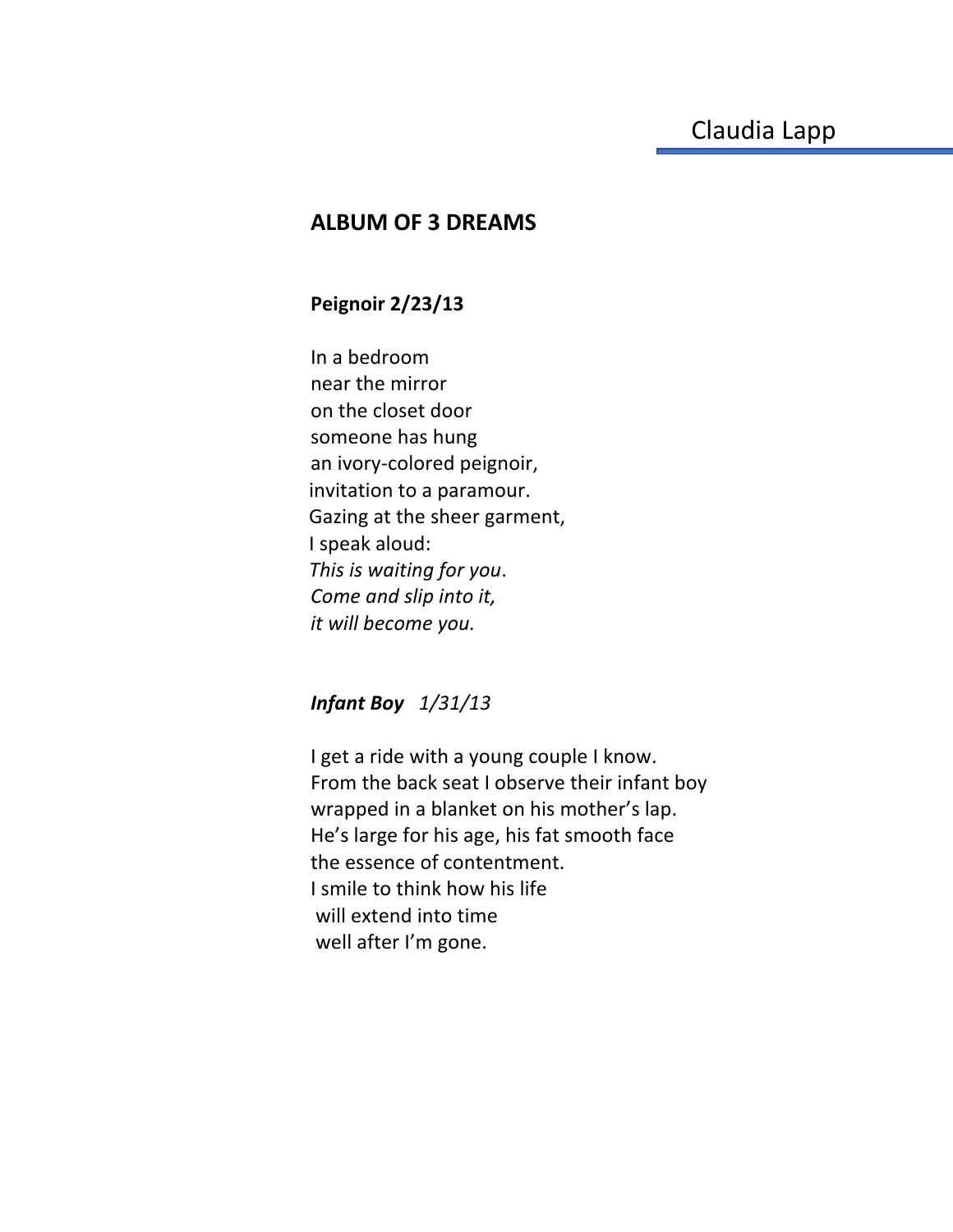## **ALBUM OF 3 DREAMS**

## **Peignoir 2/23/13**

In a bedroom near the mirror on the closet door someone has hung an ivory-colored peignoir, invitation to a paramour. Gazing at the sheer garment, I speak aloud: *This is waiting for you*. *Come and slip into it, it will become you.* 

## *Infant Boy 1/31/13*

I get a ride with a young couple I know. From the back seat I observe their infant boy wrapped in a blanket on his mother's lap. He's large for his age, his fat smooth face the essence of contentment. I smile to think how his life will extend into time well after I'm gone.